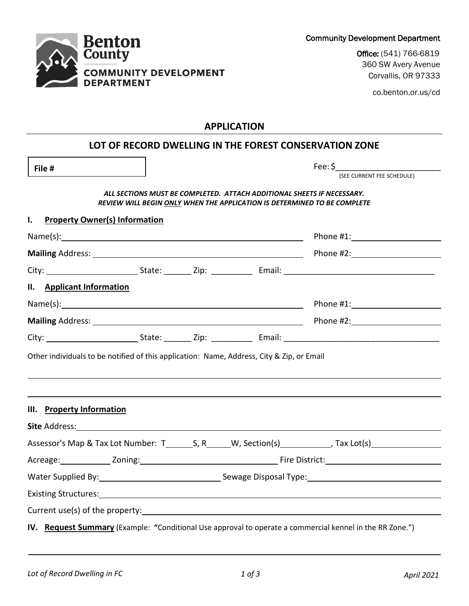| ALL SECTIONS MUST BE COMPLETED. ATTACH ADDITIONAL SHEETS IF NECESSARY.   |
|--------------------------------------------------------------------------|
| REVIEW WILL BEGIN ONLY WHEN THE APPLICATION IS DETERMINED TO BE COMPLETE |
| <b>Property Owner(s) Information</b>                                     |

**File #** 

| II. Applicant Information |                                                                                                                |  |  |                                                                                                                                                                                                                                |  |
|---------------------------|----------------------------------------------------------------------------------------------------------------|--|--|--------------------------------------------------------------------------------------------------------------------------------------------------------------------------------------------------------------------------------|--|
|                           |                                                                                                                |  |  |                                                                                                                                                                                                                                |  |
|                           |                                                                                                                |  |  |                                                                                                                                                                                                                                |  |
|                           |                                                                                                                |  |  |                                                                                                                                                                                                                                |  |
| III. Property Information |                                                                                                                |  |  | Site Address: No. 2014 19:30 19:30 19:30 19:30 19:30 19:30 19:30 19:30 19:30 19:30 19:30 19:30 19:30 19:30 19:30 19:30 19:30 19:30 19:30 19:30 19:30 19:30 19:30 19:30 19:30 19:30 19:30 19:30 19:30 19:30 19:30 19:30 19:30 1 |  |
|                           |                                                                                                                |  |  |                                                                                                                                                                                                                                |  |
|                           |                                                                                                                |  |  |                                                                                                                                                                                                                                |  |
|                           | Water Supplied By: 1998 Mater Supplied By: 1998 Mater Supplied By: 1998 Mater Supplied By: 1998 Mater Supplied |  |  |                                                                                                                                                                                                                                |  |
|                           |                                                                                                                |  |  | Existing Structures: 1999 Contract Contract Contract Contract Contract Contract Contract Contract Contract Contract Contract Contract Contract Contract Contract Contract Contract Contract Contract Contract Contract Contrac |  |
|                           |                                                                                                                |  |  |                                                                                                                                                                                                                                |  |
|                           |                                                                                                                |  |  | IV. Request Summary (Example: "Conditional Use approval to operate a commercial kennel in the RR Zone.")                                                                                                                       |  |

**Benton** County **COMMUNITY DEVELOPMENT DEPARTMENT** 

(SEE CURRENT FEE SCHEDULE)

Fee: \$\_\_\_\_\_\_\_\_\_\_\_\_\_\_\_\_\_\_\_\_\_\_\_

Office: (541) 766-6819 360 SW Avery Avenue Corvallis, OR 97333

co.benton.or.us/cd

**APPLICATION**

**LOT OF RECORD DWELLING IN THE FOREST CONSERVATION ZONE**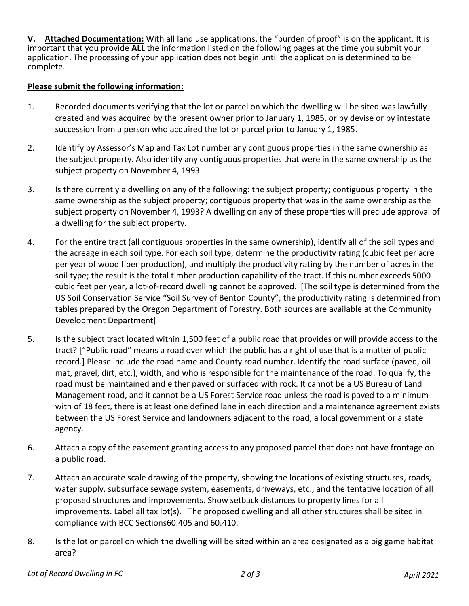**V. Attached Documentation:** With all land use applications, the "burden of proof" is on the applicant. It is important that you provide **ALL** the information listed on the following pages at the time you submit your application. The processing of your application does not begin until the application is determined to be complete.

## **Please submit the following information:**

- 1. Recorded documents verifying that the lot or parcel on which the dwelling will be sited was lawfully created and was acquired by the present owner prior to January 1, 1985, or by devise or by intestate succession from a person who acquired the lot or parcel prior to January 1, 1985.
- 2. Identify by Assessor's Map and Tax Lot number any contiguous properties in the same ownership as the subject property. Also identify any contiguous properties that were in the same ownership as the subject property on November 4, 1993.
- 3. Is there currently a dwelling on any of the following: the subject property; contiguous property in the same ownership as the subject property; contiguous property that was in the same ownership as the subject property on November 4, 1993? A dwelling on any of these properties will preclude approval of a dwelling for the subject property.
- 4. For the entire tract (all contiguous properties in the same ownership), identify all of the soil types and the acreage in each soil type. For each soil type, determine the productivity rating (cubic feet per acre per year of wood fiber production), and multiply the productivity rating by the number of acres in the soil type; the result is the total timber production capability of the tract. If this number exceeds 5000 cubic feet per year, a lot-of-record dwelling cannot be approved. [The soil type is determined from the US Soil Conservation Service "Soil Survey of Benton County"; the productivity rating is determined from tables prepared by the Oregon Department of Forestry. Both sources are available at the Community Development Department]
- 5. Is the subject tract located within 1,500 feet of a public road that provides or will provide access to the tract? ["Public road" means a road over which the public has a right of use that is a matter of public record.] Please include the road name and County road number. Identify the road surface (paved, oil mat, gravel, dirt, etc.), width, and who is responsible for the maintenance of the road. To qualify, the road must be maintained and either paved or surfaced with rock. It cannot be a US Bureau of Land Management road, and it cannot be a US Forest Service road unless the road is paved to a minimum with of 18 feet, there is at least one defined lane in each direction and a maintenance agreement exists between the US Forest Service and landowners adjacent to the road, a local government or a state agency.
- 6. Attach a copy of the easement granting access to any proposed parcel that does not have frontage on a public road.
- 7. Attach an accurate scale drawing of the property, showing the locations of existing structures, roads, water supply, subsurface sewage system, easements, driveways, etc., and the tentative location of all proposed structures and improvements. Show setback distances to property lines for all improvements. Label all tax lot(s). The proposed dwelling and all other structures shall be sited in compliance with BCC Sections60.405 and 60.410.
- 8. Is the lot or parcel on which the dwelling will be sited within an area designated as a big game habitat area?